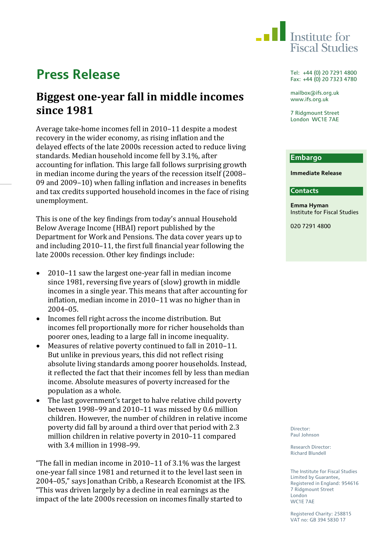

# **Press Release**

## **Biggest one-year fall in middle incomes since 1981**

Average take-home incomes fell in 2010–11 despite a modest recovery in the wider economy, as rising inflation and the delayed effects of the late 2000s recession acted to reduce living standards. Median household income fell by 3.1%, after accounting for inflation. This large fall follows surprising growth in median income during the years of the recession itself (2008– 09 and 2009–10) when falling inflation and increases in benefits and tax credits supported household incomes in the face of rising unemployment.

This is one of the key findings from today's annual Household Below Average Income (HBAI) report published by the Department for Work and Pensions. The data cover years up to and including 2010–11, the first full financial year following the late 2000s recession. Other key findings include:

- 2010–11 saw the largest one-year fall in median income since 1981, reversing five years of (slow) growth in middle incomes in a single year. This means that after accounting for inflation, median income in 2010–11 was no higher than in 2004–05.
- Incomes fell right across the income distribution. But incomes fell proportionally more for richer households than poorer ones, leading to a large fall in income inequality.
- Measures of relative poverty continued to fall in 2010–11. But unlike in previous years, this did not reflect rising absolute living standards among poorer households. Instead, it reflected the fact that their incomes fell by less than median income. Absolute measures of poverty increased for the population as a whole.
- The last government's target to halve relative child poverty between 1998–99 and 2010–11 was missed by 0.6 million children. However, the number of children in relative income poverty did fall by around a third over that period with 2.3 million children in relative poverty in 2010–11 compared with 3.4 million in 1998–99.

"The fall in median income in 2010–11 of 3.1% was the largest one-year fall since 1981 and returned it to the level last seen in 2004–05," says Jonathan Cribb, a Research Economist at the IFS. "This was driven largely by a decline in real earnings as the impact of the late 2000s recession on incomes finally started to

Tel: +44 (0) 20 7291 4800 Fax: +44 (0) 20 7323 4780

mailbox@ifs.org.uk www.ifs.org.uk

7 Ridgmount Street London WC1E 7AE

## **Embargo**

**Immediate Release**

### **Contacts**

**Emma Hyman** Institute for Fiscal Studies

020 7291 4800

Director: Paul Johnson

Research Director: Richard Blundell

The Institute for Fiscal Studies Limited by Guarantee, Registered in England: 954616 7 Ridgmount Street London WC1E 7AE

Registered Charity: 258815 VAT no: GB 394 5830 17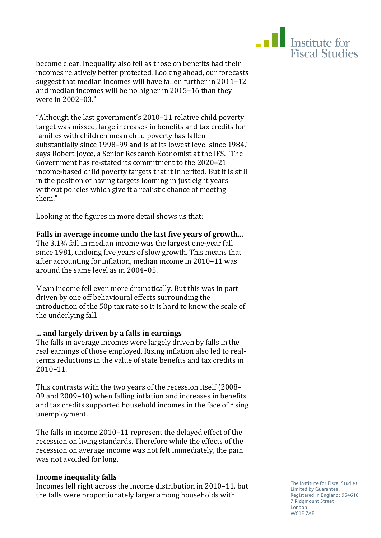

become clear. Inequality also fell as those on benefits had their incomes relatively better protected. Looking ahead, our forecasts suggest that median incomes will have fallen further in 2011–12 and median incomes will be no higher in 2015–16 than they were in 2002–03."

"Although the last government's 2010–11 relative child poverty target was missed, large increases in benefits and tax credits for families with children mean child poverty has fallen substantially since 1998–99 and is at its lowest level since 1984." says Robert Joyce, a Senior Research Economist at the IFS. "The Government has re-stated its commitment to the 2020–21 income-based child poverty targets that it inherited. But it is still in the position of having targets looming in just eight years without policies which give it a realistic chance of meeting them."

Looking at the figures in more detail shows us that:

## **Falls in average income undo the last five years of growth...**

The 3.1% fall in median income was the largest one-year fall since 1981, undoing five years of slow growth. This means that after accounting for inflation, median income in 2010–11 was around the same level as in 2004–05.

Mean income fell even more dramatically. But this was in part driven by one off behavioural effects surrounding the introduction of the 50p tax rate so it is hard to know the scale of the underlying fall.

## **... and largely driven by a falls in earnings**

The falls in average incomes were largely driven by falls in the real earnings of those employed. Rising inflation also led to realterms reductions in the value of state benefits and tax credits in 2010–11.

This contrasts with the two years of the recession itself (2008– 09 and 2009–10) when falling inflation and increases in benefits and tax credits supported household incomes in the face of rising unemployment.

The falls in income 2010–11 represent the delayed effect of the recession on living standards. Therefore while the effects of the recession on average income was not felt immediately, the pain was not avoided for long.

## **Income inequality falls**

Incomes fell right across the income distribution in 2010–11, but the falls were proportionately larger among households with

The Institute for Fiscal Studies Limited by Guarantee, Registered in England: 954616 7 Ridgmount Street London WC1E 7AE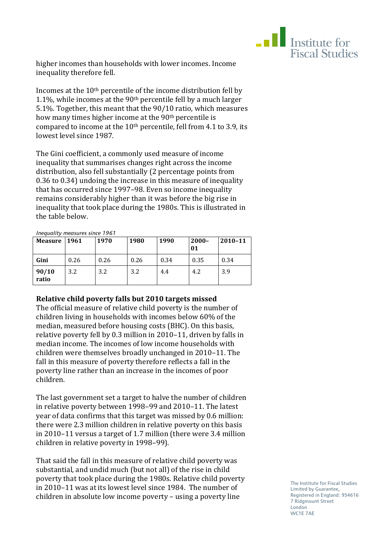

higher incomes than households with lower incomes. Income inequality therefore fell.

Incomes at the 10th percentile of the income distribution fell by 1.1%, while incomes at the  $90<sup>th</sup>$  percentile fell by a much larger 5.1%. Together, this meant that the 90/10 ratio, which measures how many times higher income at the 90<sup>th</sup> percentile is compared to income at the  $10<sup>th</sup>$  percentile, fell from 4.1 to 3.9, its lowest level since 1987.

The Gini coefficient, a commonly used measure of income inequality that summarises changes right across the income distribution, also fell substantially (2 percentage points from 0.36 to 0.34) undoing the increase in this measure of inequality that has occurred since 1997–98. Even so income inequality remains considerably higher than it was before the big rise in inequality that took place during the 1980s. This is illustrated in the table below.

*Inequality measures since 1961*

| Measure 1961   |      | 1970 | 1980 | 1990 | 2000–<br>$\overline{01}$ | 2010-11 |
|----------------|------|------|------|------|--------------------------|---------|
| Gini           | 0.26 | 0.26 | 0.26 | 0.34 | 0.35                     | 0.34    |
| 90/10<br>ratio | 3.2  | 3.2  | 3.2  | 4.4  | 4.2                      | 3.9     |

#### **Relative child poverty falls but 2010 targets missed**

The official measure of relative child poverty is the number of children living in households with incomes below 60% of the median, measured before housing costs (BHC). On this basis, relative poverty fell by 0.3 million in 2010–11, driven by falls in median income. The incomes of low income households with children were themselves broadly unchanged in 2010–11. The fall in this measure of poverty therefore reflects a fall in the poverty line rather than an increase in the incomes of poor children.

The last government set a target to halve the number of children in relative poverty between 1998–99 and 2010–11. The latest year of data confirms that this target was missed by 0.6 million: there were 2.3 million children in relative poverty on this basis in 2010–11 versus a target of 1.7 million (there were 3.4 million children in relative poverty in 1998–99).

That said the fall in this measure of relative child poverty was substantial, and undid much (but not all) of the rise in child poverty that took place during the 1980s. Relative child poverty in 2010–11 was at its lowest level since 1984. The number of children in absolute low income poverty – using a poverty line

The Institute for Fiscal Studies Limited by Guarantee, Registered in England: 954616 7 Ridgmount Street London WC1E 7AE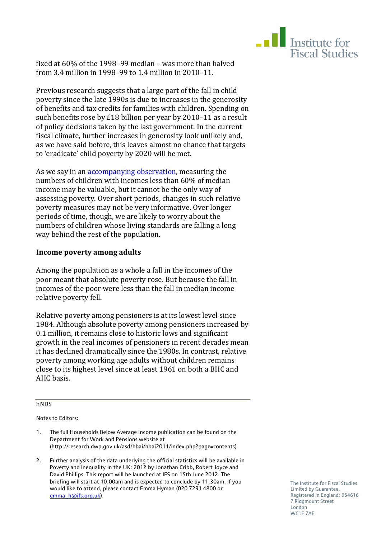

fixed at 60% of the 1998–99 median – was more than halved from 3.4 million in 1998–99 to 1.4 million in 2010–11.

Previous research suggests that a large part of the fall in child poverty since the late 1990s is due to increases in the generosity of benefits and tax credits for families with children. Spending on such benefits rose by £18 billion per year by 2010–11 as a result of policy decisions taken by the last government. In the current fiscal climate, further increases in generosity look unlikely and, as we have said before, this leaves almost no chance that targets to 'eradicate' child poverty by 2020 will be met.

As we say in an [accompanying observation,](http://www.ifs.org.uk/publications/6194) measuring the numbers of children with incomes less than 60% of median income may be valuable, but it cannot be the only way of assessing poverty. Over short periods, changes in such relative poverty measures may not be very informative. Over longer periods of time, though, we are likely to worry about the numbers of children whose living standards are falling a long way behind the rest of the population.

### **Income poverty among adults**

Among the population as a whole a fall in the incomes of the poor meant that absolute poverty rose. But because the fall in incomes of the poor were less than the fall in median income relative poverty fell.

Relative poverty among pensioners is at its lowest level since 1984. Although absolute poverty among pensioners increased by 0.1 million, it remains close to historic lows and significant growth in the real incomes of pensioners in recent decades mean it has declined dramatically since the 1980s. In contrast, relative poverty among working age adults without children remains close to its highest level since at least 1961 on both a BHC and AHC basis.

#### ENDS

#### Notes to Editors:

- 1. The full Households Below Average Income publication can be found on the Department for Work and Pensions website at (http://research.dwp.gov.uk/asd/hbai/hbai2011/index.php?page=contents)
- 2. Further analysis of the data underlying the official statistics will be available in Poverty and Inequality in the UK: 2012 by Jonathan Cribb, Robert Joyce and David Phillips. This report will be launched at IFS on 15th June 2012. The briefing will start at 10:00am and is expected to conclude by 11:30am. If you would like to attend, please contact Emma Hyman (020 7291 4800 or [emma\\_h@ifs.org.uk\)](mailto:kylie_g@ifs.org.uk).

The Institute for Fiscal Studies Limited by Guarantee, Registered in England: 954616 7 Ridgmount Street London WC1E 7AE